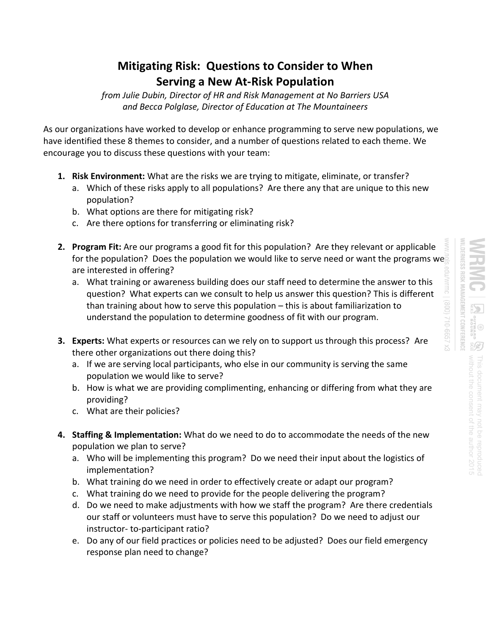## **Mitigating Risk: Questions to Consider to When Serving a New At-Risk Population**

*from Julie Dubin, Director of HR and Risk Management at No Barriers USA and Becca Polglase, Director of Education at The Mountaineers* 

As our organizations have worked to develop or enhance programming to serve new populations, we have identified these 8 themes to consider, and a number of questions related to each theme. We encourage you to discuss these questions with your team:

- **1. Risk Environment:** What are the risks we are trying to mitigate, eliminate, or transfer?
	- a. Which of these risks apply to all populations? Are there any that are unique to this new population?
	- b. What options are there for mitigating risk?
	- c. Are there options for transferring or eliminating risk?
- **2. Program Fit:** Are our programs a good fit for this population? Are they relevant or applicable for the population? Does the population we would like to serve need or want the programs we are interested in offering?
	- a. What training or awareness building does our staff need to determine the answer to this question? What experts can we consult to help us answer this question? This is different than training about how to serve this population – this is about familiarization to understand the population to determine goodness of fit with our program.
- **3. Experts:** What experts or resources can we rely on to support us through this process? Are there other organizations out there doing this?
	- a. If we are serving local participants, who else in our community is serving the same population we would like to serve?
	- b. How is what we are providing complimenting, enhancing or differing from what they are providing?
	- c. What are their policies?
- **4. Staffing & Implementation:** What do we need to do to accommodate the needs of the new population we plan to serve?
	- a. Who will be implementing this program? Do we need their input about the logistics of implementation?
	- b. What training do we need in order to effectively create or adapt our program?
	- c. What training do we need to provide for the people delivering the program?
	- d. Do we need to make adjustments with how we staff the program? Are there credentials our staff or volunteers must have to serve this population? Do we need to adjust our instructor- to-participant ratio?
	- e. Do any of our field practices or policies need to be adjusted? Does our field emergency response plan need to change?

**.DERNESS RISK MANAGEMENT CONFERENCE** 海马 without the consent of the author without the consent of the author 2015<br>without the consent of the author 2015 This document may not be reproduced This document may not be reproduced

EX 2999-012 (008)